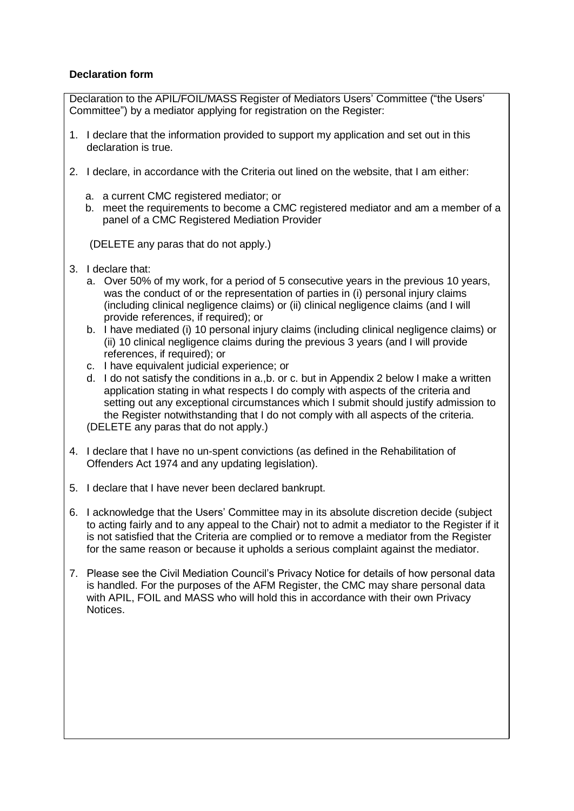## **Declaration form**

Declaration to the APIL/FOIL/MASS Register of Mediators Users' Committee ("the Users' Committee") by a mediator applying for registration on the Register:

- 1. I declare that the information provided to support my application and set out in this declaration is true.
- 2. I declare, in accordance with the Criteria out lined on the website, that I am either:
	- a. a current CMC registered mediator; or
	- b. meet the requirements to become a CMC registered mediator and am a member of a panel of a CMC Registered Mediation Provider

(DELETE any paras that do not apply.)

- 3. I declare that:
	- a. Over 50% of my work, for a period of 5 consecutive years in the previous 10 years, was the conduct of or the representation of parties in (i) personal injury claims (including clinical negligence claims) or (ii) clinical negligence claims (and I will provide references, if required); or
	- b. I have mediated (i) 10 personal injury claims (including clinical negligence claims) or (ii) 10 clinical negligence claims during the previous 3 years (and I will provide references, if required); or
	- c. I have equivalent judicial experience; or
	- d. I do not satisfy the conditions in a.,b. or c. but in Appendix 2 below I make a written application stating in what respects I do comply with aspects of the criteria and setting out any exceptional circumstances which I submit should justify admission to the Register notwithstanding that I do not comply with all aspects of the criteria. (DELETE any paras that do not apply.)
- 4. I declare that I have no un-spent convictions (as defined in the Rehabilitation of Offenders Act 1974 and any updating legislation).
- 5. I declare that I have never been declared bankrupt.
- 6. I acknowledge that the Users' Committee may in its absolute discretion decide (subject to acting fairly and to any appeal to the Chair) not to admit a mediator to the Register if it is not satisfied that the Criteria are complied or to remove a mediator from the Register for the same reason or because it upholds a serious complaint against the mediator.
- 7. Please see the Civil Mediation Council's Privacy Notice for details of how personal data is handled. For the purposes of the AFM Register, the CMC may share personal data with APIL, FOIL and MASS who will hold this in accordance with their own Privacy Notices.